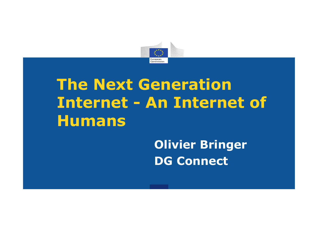

# **The Next Generation Internet - An Internet of Humans**

**Olivier Bringer DG Connect**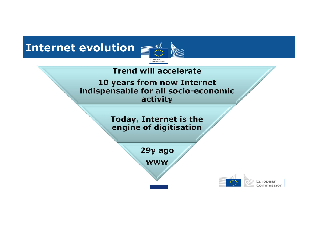# **Internet evolution**



#### **Trend will accelerate**

10 years from now Internet indispensable for all socio-economic activity

> Today, Internet is the engine of digitisation

> > 29y ago

**WWW** 

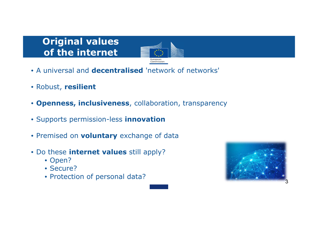# **Original values of the internet**



- A universal and **decentralised** 'network of networks'
- Robust, **resilient**
- **Openness, inclusiveness**, collaboration, transparency
- Supports permission-less **innovation**
- Premised on **voluntary** exchange of data
- Do these **internet values** still apply?
	- Open?
	- Secure?
	- Protection of personal data?

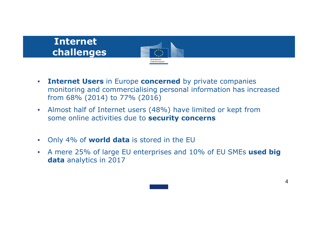# **Internetchallenges**



- $\bullet$  **Internet Users** in Europe **concerned** by private companies monitoring and commercialising personal information has increased from 68% (2014) to 77% (2016)
- • Almost half of Internet users (48%) have limited or kept from some online activities due to **security concerns**
- $\bullet$ Only 4% of **world data** is stored in the EU
- $\bullet$  A mere 25% of large EU enterprises and 10% of EU SMEs **used big data** analytics in 2017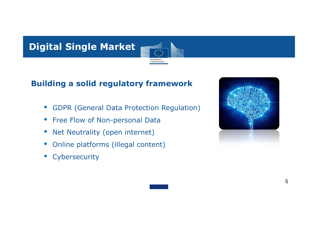

#### **Building a solid regulatory framework**

 $\bullet$ GDPR (General Data Protection Regulation)

Commission

- $\bullet$ Free Flow of Non-personal Data
- $\bullet$ Net Neutrality (open internet)
- $\bullet$ Online platforms (illegal content)
- •**Cybersecurity**

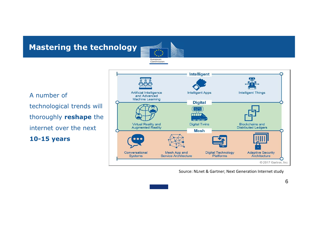**Mastering the technology**

A number of technological trends will thoroughly **reshape** the internet over the next **10-15 years**



Source: NLnet & Gartner; Next Generation Internet study



European Commission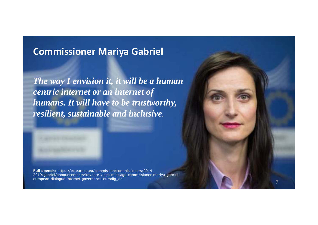### **Commissioner Mariya Gabriel**

*The way I envision it, it will be a human centric internet or an internet of humans. It will have to be trustworthy, resilient, sustainable and inclusive.*



**Full speech**: https://ec.europa.eu/commission/commissioners/2014- 2019/gabriel/announcements/keynote-video-message-commissioner-mariya-gabrieleuropean-dialogue-internet-governance-eurodig\_en

7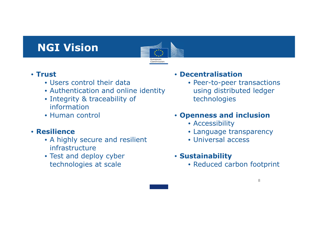# **NGI Vision**



#### • **Trust**

- Users control their data
- Authentication and online identity
- Integrity & traceability of information
- Human control

#### • **Resilience**

- A highly secure and resilient infrastructure
- Test and deploy cyber technologies at scale

#### • **Decentralisation**

• Peer-to-peer transactions using distributed ledger technologies

#### • **Openness and inclusion**

- Accessibility
- Language transparency
- Universal access
- **Sustainability**
	- Reduced carbon footprint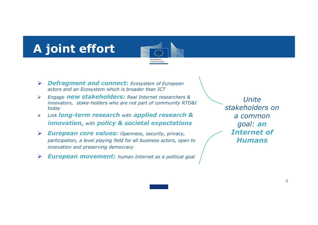# **A joint effort**



- ¾ *Defragment and connect: Ecosystem of European actors and an Ecosystem which is broader than ICT*
- $\blacktriangleright$  *Engage new stakeholders: Real Internet researchers & innovators, stake-holders who are not part of community RTD&I today*
- ¾ *Link long-term research with applied research & innovation, with policy & societal expectations*
- ¾ *European core values: Openness, security, privacy, participation, a level playing field for all business actors, open to innovation and preserving democracy*
- ¾*European movement: human Internet as a political goal*

*Unite stakeholders on a common goal: an Internet of Humans*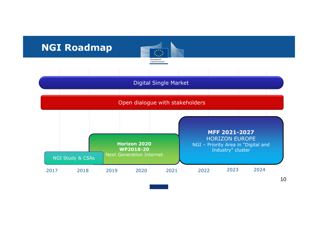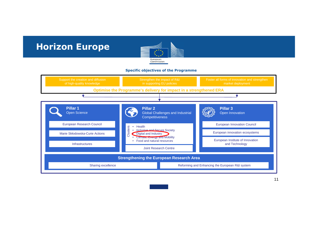### **Horizon Europe**



#### **Specific objectives of the Programme**

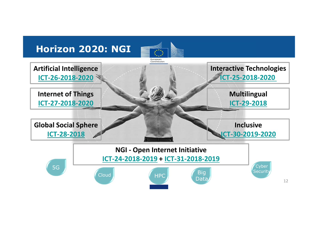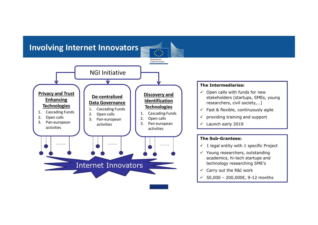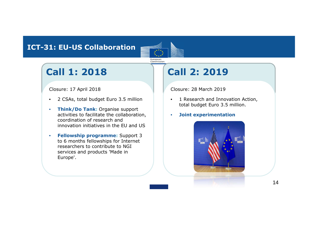#### **ICT-31: EU-US Collaboration**



## **Call 1: 2018**

#### Closure: 17 April 2018

- •2 CSAs, total budget Euro 3.5 million
- • **Think/Do Tank:** Organise support activities to facilitate the collaboration, coordination of research and innovation initiatives in the EU and US
- • **Fellowship programme:** Support 3 to 6 months fellowships for Internet researchers to contribute to NGI services and products 'Made in Europe'.

## **Call 2: 2019**

Closure: 28 March 2019

- • 1 Research and Innovation Action, total budget Euro 3.5 million.
- $\bullet$ **Joint experimentation**

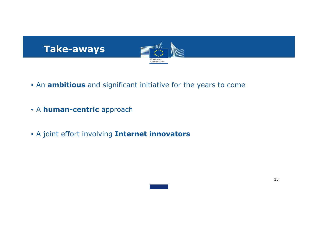

- An **ambitious** and significant initiative for the years to come
- A **human-centric** approach
- A joint effort involving **Internet innovators**